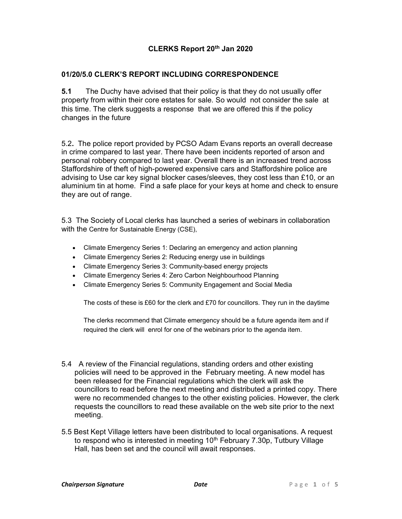## CLERKS Report 20th Jan 2020

## 01/20/5.0 CLERK'S REPORT INCLUDING CORRESPONDENCE

5.1 The Duchy have advised that their policy is that they do not usually offer property from within their core estates for sale. So would not consider the sale at this time. The clerk suggests a response that we are offered this if the policy changes in the future

5.2. The police report provided by PCSO Adam Evans reports an overall decrease in crime compared to last year. There have been incidents reported of arson and personal robbery compared to last year. Overall there is an increased trend across Staffordshire of theft of high-powered expensive cars and Staffordshire police are advising to Use car key signal blocker cases/sleeves, they cost less than £10, or an aluminium tin at home. Find a safe place for your keys at home and check to ensure they are out of range.

5.3 The Society of Local clerks has launched a series of webinars in collaboration with the Centre for Sustainable Energy (CSE),

- Climate Emergency Series 1: Declaring an emergency and action planning
- Climate Emergency Series 2: Reducing energy use in buildings
- Climate Emergency Series 3: Community-based energy projects
- Climate Emergency Series 4: Zero Carbon Neighbourhood Planning
- Climate Emergency Series 5: Community Engagement and Social Media

The costs of these is £60 for the clerk and £70 for councillors. They run in the daytime

The clerks recommend that Climate emergency should be a future agenda item and if required the clerk will enrol for one of the webinars prior to the agenda item.

- 5.4 A review of the Financial regulations, standing orders and other existing policies will need to be approved in the February meeting. A new model has been released for the Financial regulations which the clerk will ask the councillors to read before the next meeting and distributed a printed copy. There were no recommended changes to the other existing policies. However, the clerk requests the councillors to read these available on the web site prior to the next meeting.
- 5.5 Best Kept Village letters have been distributed to local organisations. A request to respond who is interested in meeting  $10<sup>th</sup>$  February 7.30p, Tutbury Village Hall, has been set and the council will await responses.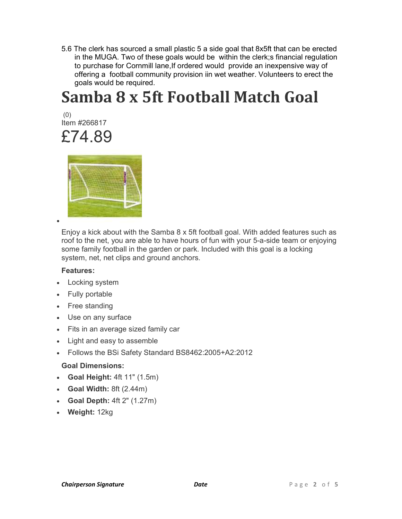5.6 The clerk has sourced a small plastic 5 a side goal that 8x5ft that can be erected in the MUGA. Two of these goals would be within the clerk;s financial regulation to purchase for Cornmill lane,If ordered would provide an inexpensive way of offering a football community provision iin wet weather. Volunteers to erect the goals would be required.

# Samba 8 x 5ft Football Match Goal

 (0) Item #266817 £74.89



 $\bullet$ 

Enjoy a kick about with the Samba 8 x 5ft football goal. With added features such as roof to the net, you are able to have hours of fun with your 5-a-side team or enjoying some family football in the garden or park. Included with this goal is a locking system, net, net clips and ground anchors.

## Features:

- Locking system
- Fully portable
- Free standing
- Use on any surface
- Fits in an average sized family car
- Light and easy to assemble
- Follows the BSi Safety Standard BS8462:2005+A2:2012

## Goal Dimensions:

- Goal Height: 4ft 11" (1.5m)
- Goal Width: 8ft (2.44m)
- Goal Depth:  $4ft 2" (1.27m)$
- Weight: 12kg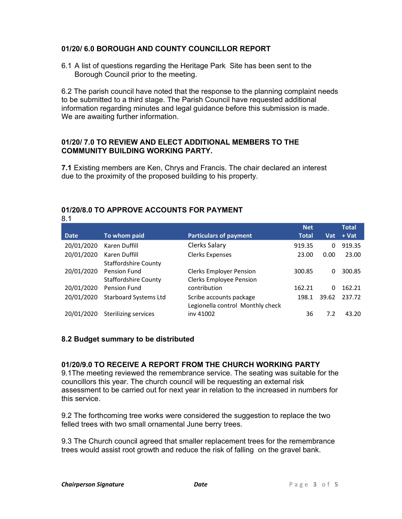## 01/20/ 6.0 BOROUGH AND COUNTY COUNCILLOR REPORT

6.1 A list of questions regarding the Heritage Park Site has been sent to the Borough Council prior to the meeting.

6.2 The parish council have noted that the response to the planning complaint needs to be submitted to a third stage. The Parish Council have requested additional information regarding minutes and legal guidance before this submission is made. We are awaiting further information.

### 01/20/ 7.0 TO REVIEW AND ELECT ADDITIONAL MEMBERS TO THE COMMUNITY BUILDING WORKING PARTY.

7.1 Existing members are Ken, Chrys and Francis. The chair declared an interest due to the proximity of the proposed building to his property.

|             |                              |                                  | <b>Net</b>   |       | <b>Total</b> |
|-------------|------------------------------|----------------------------------|--------------|-------|--------------|
| <b>Date</b> | To whom paid                 | <b>Particulars of payment</b>    | <b>Total</b> | Vat   | + Vat        |
| 20/01/2020  | Karen Duffill                | Clerks Salary                    | 919.35       | 0     | 919.35       |
| 20/01/2020  | Karen Duffill                | <b>Clerks Expenses</b>           | 23.00        | 0.00  | 23.00        |
|             | <b>Staffordshire County</b>  |                                  |              |       |              |
| 20/01/2020  | Pension Fund                 | <b>Clerks Employer Pension</b>   | 300.85       | 0     | 300.85       |
|             | <b>Staffordshire County</b>  | <b>Clerks Employee Pension</b>   |              |       |              |
| 20/01/2020  | Pension Fund                 | contribution                     | 162.21       | 0     | 162.21       |
| 20/01/2020  | <b>Starboard Systems Ltd</b> | Scribe accounts package          | 198.1        | 39.62 | 237.72       |
|             |                              | Legionella control Monthly check |              |       |              |
| 20/01/2020  | Sterilizing services         | iny 41002                        | 36           | 7.2   | 43.20        |

#### 01/20/8.0 TO APPROVE ACCOUNTS FOR PAYMENT 8.1

#### 8.2 Budget summary to be distributed

### 01/20/9.0 TO RECEIVE A REPORT FROM THE CHURCH WORKING PARTY

9.1The meeting reviewed the remembrance service. The seating was suitable for the councillors this year. The church council will be requesting an external risk assessment to be carried out for next year in relation to the increased in numbers for this service.

9.2 The forthcoming tree works were considered the suggestion to replace the two felled trees with two small ornamental June berry trees.

9.3 The Church council agreed that smaller replacement trees for the remembrance trees would assist root growth and reduce the risk of falling on the gravel bank.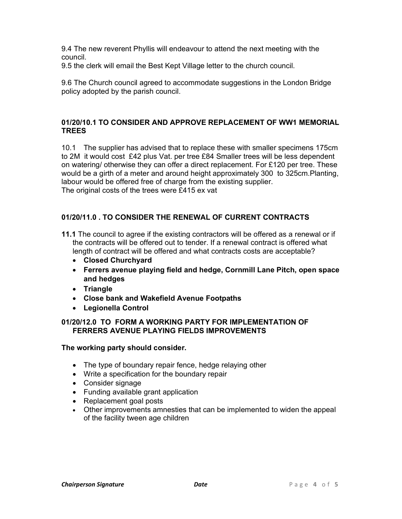9.4 The new reverent Phyllis will endeavour to attend the next meeting with the council.

9.5 the clerk will email the Best Kept Village letter to the church council.

9.6 The Church council agreed to accommodate suggestions in the London Bridge policy adopted by the parish council.

## 01/20/10.1 TO CONSIDER AND APPROVE REPLACEMENT OF WW1 MEMORIAL **TREES**

10.1 The supplier has advised that to replace these with smaller specimens 175cm to 2M it would cost £42 plus Vat. per tree £84 Smaller trees will be less dependent on watering/ otherwise they can offer a direct replacement. For £120 per tree. These would be a girth of a meter and around height approximately 300 to 325cm.Planting, labour would be offered free of charge from the existing supplier. The original costs of the trees were £415 ex vat

## 01/20/11.0 . TO CONSIDER THE RENEWAL OF CURRENT CONTRACTS

- 11.1 The council to agree if the existing contractors will be offered as a renewal or if the contracts will be offered out to tender. If a renewal contract is offered what length of contract will be offered and what contracts costs are acceptable?
	- Closed Churchyard
	- Ferrers avenue playing field and hedge, Cornmill Lane Pitch, open space and hedges
	- Triangle
	- Close bank and Wakefield Avenue Footpaths
	- Legionella Control

## 01/20/12.0 TO FORM A WORKING PARTY FOR IMPLEMENTATION OF FERRERS AVENUE PLAYING FIELDS IMPROVEMENTS

### The working party should consider.

- The type of boundary repair fence, hedge relaying other
- Write a specification for the boundary repair
- Consider signage
- Funding available grant application
- Replacement goal posts
- Other improvements amnesties that can be implemented to widen the appeal of the facility tween age children